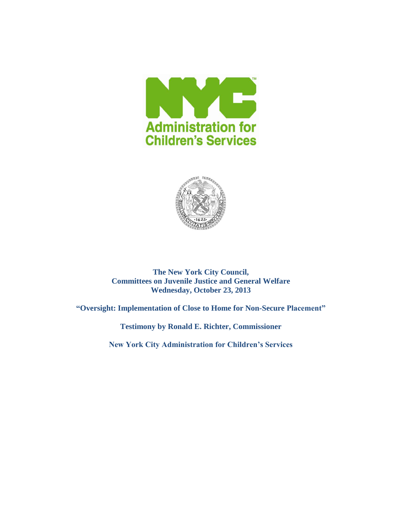



**The New York City Council, Committees on Juvenile Justice and General Welfare Wednesday, October 23, 2013**

**"Oversight: Implementation of Close to Home for Non-Secure Placement"**

**Testimony by Ronald E. Richter, Commissioner**

**New York City Administration for Children's Services**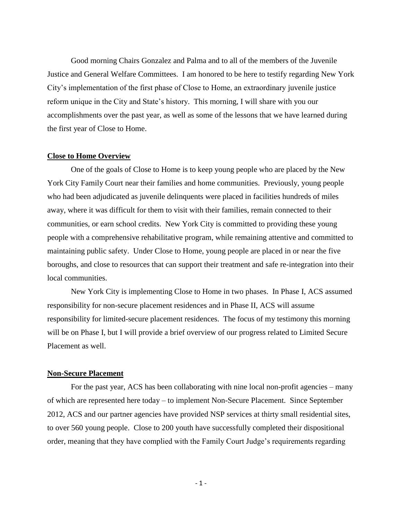Good morning Chairs Gonzalez and Palma and to all of the members of the Juvenile Justice and General Welfare Committees. I am honored to be here to testify regarding New York City's implementation of the first phase of Close to Home, an extraordinary juvenile justice reform unique in the City and State's history. This morning, I will share with you our accomplishments over the past year, as well as some of the lessons that we have learned during the first year of Close to Home.

# **Close to Home Overview**

One of the goals of Close to Home is to keep young people who are placed by the New York City Family Court near their families and home communities. Previously, young people who had been adjudicated as juvenile delinquents were placed in facilities hundreds of miles away, where it was difficult for them to visit with their families, remain connected to their communities, or earn school credits. New York City is committed to providing these young people with a comprehensive rehabilitative program, while remaining attentive and committed to maintaining public safety. Under Close to Home, young people are placed in or near the five boroughs, and close to resources that can support their treatment and safe re-integration into their local communities.

New York City is implementing Close to Home in two phases. In Phase I, ACS assumed responsibility for non-secure placement residences and in Phase II, ACS will assume responsibility for limited-secure placement residences. The focus of my testimony this morning will be on Phase I, but I will provide a brief overview of our progress related to Limited Secure Placement as well.

# **Non-Secure Placement**

For the past year, ACS has been collaborating with nine local non-profit agencies – many of which are represented here today – to implement Non-Secure Placement. Since September 2012, ACS and our partner agencies have provided NSP services at thirty small residential sites, to over 560 young people. Close to 200 youth have successfully completed their dispositional order, meaning that they have complied with the Family Court Judge's requirements regarding

- 1 -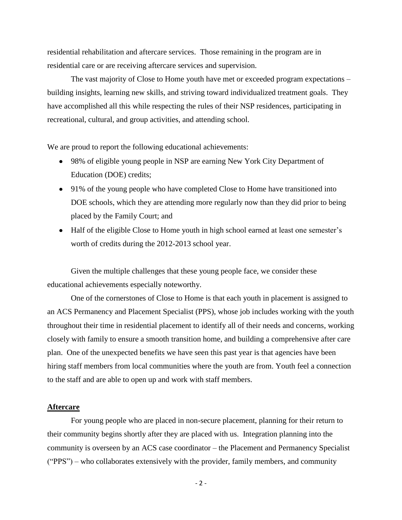residential rehabilitation and aftercare services. Those remaining in the program are in residential care or are receiving aftercare services and supervision.

The vast majority of Close to Home youth have met or exceeded program expectations – building insights, learning new skills, and striving toward individualized treatment goals. They have accomplished all this while respecting the rules of their NSP residences, participating in recreational, cultural, and group activities, and attending school.

We are proud to report the following educational achievements:

- 98% of eligible young people in NSP are earning New York City Department of Education (DOE) credits;
- 91% of the young people who have completed Close to Home have transitioned into DOE schools, which they are attending more regularly now than they did prior to being placed by the Family Court; and
- Half of the eligible Close to Home youth in high school earned at least one semester's worth of credits during the 2012-2013 school year.

Given the multiple challenges that these young people face, we consider these educational achievements especially noteworthy.

One of the cornerstones of Close to Home is that each youth in placement is assigned to an ACS Permanency and Placement Specialist (PPS), whose job includes working with the youth throughout their time in residential placement to identify all of their needs and concerns, working closely with family to ensure a smooth transition home, and building a comprehensive after care plan. One of the unexpected benefits we have seen this past year is that agencies have been hiring staff members from local communities where the youth are from. Youth feel a connection to the staff and are able to open up and work with staff members.

### **Aftercare**

For young people who are placed in non-secure placement, planning for their return to their community begins shortly after they are placed with us. Integration planning into the community is overseen by an ACS case coordinator – the Placement and Permanency Specialist ("PPS") – who collaborates extensively with the provider, family members, and community

- 2 -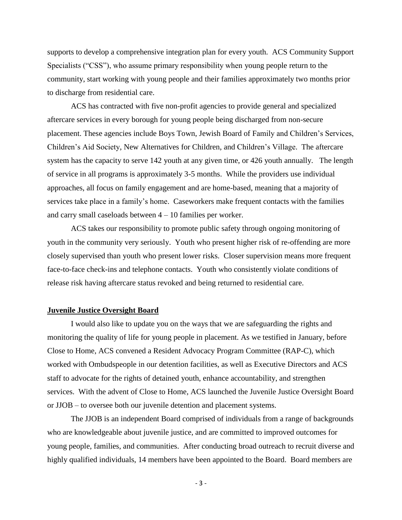supports to develop a comprehensive integration plan for every youth. ACS Community Support Specialists ("CSS"), who assume primary responsibility when young people return to the community, start working with young people and their families approximately two months prior to discharge from residential care.

ACS has contracted with five non-profit agencies to provide general and specialized aftercare services in every borough for young people being discharged from non-secure placement. These agencies include Boys Town, Jewish Board of Family and Children's Services, Children's Aid Society, New Alternatives for Children, and Children's Village. The aftercare system has the capacity to serve 142 youth at any given time, or 426 youth annually. The length of service in all programs is approximately 3-5 months. While the providers use individual approaches, all focus on family engagement and are home-based, meaning that a majority of services take place in a family's home. Caseworkers make frequent contacts with the families and carry small caseloads between 4 – 10 families per worker.

ACS takes our responsibility to promote public safety through ongoing monitoring of youth in the community very seriously. Youth who present higher risk of re-offending are more closely supervised than youth who present lower risks. Closer supervision means more frequent face-to-face check-ins and telephone contacts. Youth who consistently violate conditions of release risk having aftercare status revoked and being returned to residential care.

## **Juvenile Justice Oversight Board**

I would also like to update you on the ways that we are safeguarding the rights and monitoring the quality of life for young people in placement. As we testified in January, before Close to Home, ACS convened a Resident Advocacy Program Committee (RAP-C), which worked with Ombudspeople in our detention facilities, as well as Executive Directors and ACS staff to advocate for the rights of detained youth, enhance accountability, and strengthen services. With the advent of Close to Home, ACS launched the Juvenile Justice Oversight Board or JJOB – to oversee both our juvenile detention and placement systems.

The JJOB is an independent Board comprised of individuals from a range of backgrounds who are knowledgeable about juvenile justice, and are committed to improved outcomes for young people, families, and communities. After conducting broad outreach to recruit diverse and highly qualified individuals, 14 members have been appointed to the Board. Board members are

- 3 -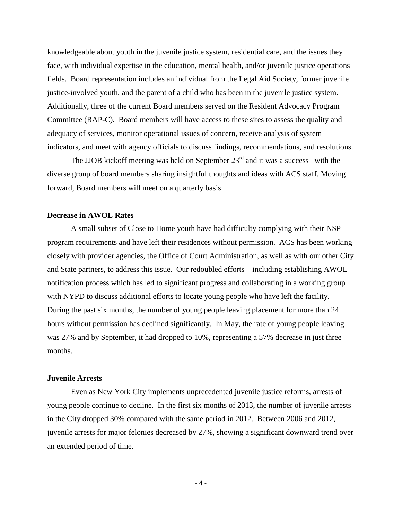knowledgeable about youth in the juvenile justice system, residential care, and the issues they face, with individual expertise in the education, mental health, and/or juvenile justice operations fields. Board representation includes an individual from the Legal Aid Society, former juvenile justice-involved youth, and the parent of a child who has been in the juvenile justice system. Additionally, three of the current Board members served on the Resident Advocacy Program Committee (RAP-C). Board members will have access to these sites to assess the quality and adequacy of services, monitor operational issues of concern, receive analysis of system indicators, and meet with agency officials to discuss findings, recommendations, and resolutions.

The JJOB kickoff meeting was held on September  $23<sup>rd</sup>$  and it was a success –with the diverse group of board members sharing insightful thoughts and ideas with ACS staff. Moving forward, Board members will meet on a quarterly basis.

# **Decrease in AWOL Rates**

A small subset of Close to Home youth have had difficulty complying with their NSP program requirements and have left their residences without permission. ACS has been working closely with provider agencies, the Office of Court Administration, as well as with our other City and State partners, to address this issue. Our redoubled efforts – including establishing AWOL notification process which has led to significant progress and collaborating in a working group with NYPD to discuss additional efforts to locate young people who have left the facility. During the past six months, the number of young people leaving placement for more than 24 hours without permission has declined significantly. In May, the rate of young people leaving was 27% and by September, it had dropped to 10%, representing a 57% decrease in just three months.

# **Juvenile Arrests**

Even as New York City implements unprecedented juvenile justice reforms, arrests of young people continue to decline. In the first six months of 2013, the number of juvenile arrests in the City dropped 30% compared with the same period in 2012. Between 2006 and 2012, juvenile arrests for major felonies decreased by 27%, showing a significant downward trend over an extended period of time.

- 4 -